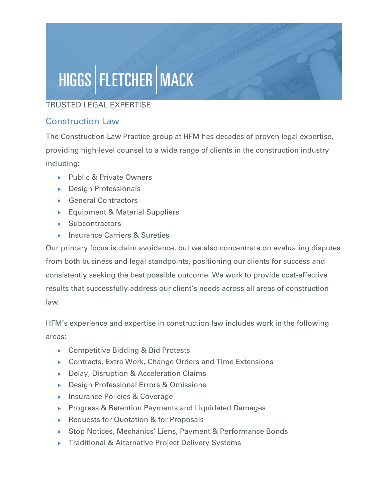## HIGGS | FLETCHER | MACK

## TRUSTED LEGAL EXPERTISE

## Construction Law

The Construction Law Practice group at HFM has decades of proven legal expertise, providing high-level counsel to a wide range of clients in the construction industry including:

- ▶ Public & Private Owners
- Design Professionals
- ▶ General Contractors
- Equipment & Material Suppliers
- $\blacktriangleright$  Subcontractors
- ▶ Insurance Carriers & Sureties

Our primary focus is claim avoidance, but we also concentrate on evaluating disputes from both business and legal standpoints, positioning our clients for success and consistently seeking the best possible outcome. We work to provide cost-effective results that successfully address our client's needs across all areas of construction law.

HFM's experience and expertise in construction law includes work in the following areas:

- ▶ Competitive Bidding & Bid Protests
- ▶ Contracts, Extra Work, Change Orders and Time Extensions
- ▶ Delay, Disruption & Acceleration Claims
- ▶ Design Professional Errors & Omissions
- ▶ Insurance Policies & Coverage
- ▶ Progress & Retention Payments and Liquidated Damages
- ▶ Requests for Quotation & for Proposals
- ▶ Stop Notices, Mechanics' Liens, Payment & Performance Bonds
- ▶ Traditional & Alternative Project Delivery Systems